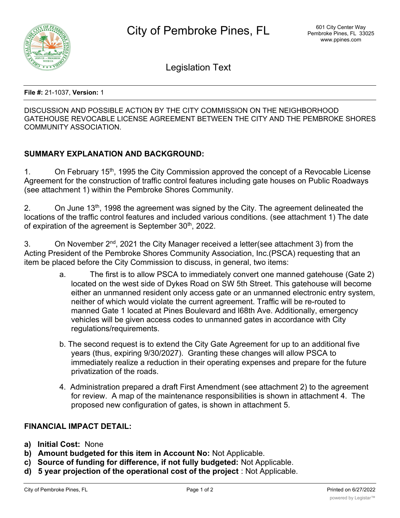

Legislation Text

**File #:** 21-1037, **Version:** 1

DISCUSSION AND POSSIBLE ACTION BY THE CITY COMMISSION ON THE NEIGHBORHOOD GATEHOUSE REVOCABLE LICENSE AGREEMENT BETWEEN THE CITY AND THE PEMBROKE SHORES COMMUNITY ASSOCIATION.

## **SUMMARY EXPLANATION AND BACKGROUND:**

1. On February 15<sup>th</sup>, 1995 the City Commission approved the concept of a Revocable License Agreement for the construction of traffic control features including gate houses on Public Roadways (see attachment 1) within the Pembroke Shores Community.

2. On June 13<sup>th</sup>, 1998 the agreement was signed by the City. The agreement delineated the locations of the traffic control features and included various conditions. (see attachment 1) The date of expiration of the agreement is September 30<sup>th</sup>, 2022.

3. On November  $2^{nd}$ , 2021 the City Manager received a letter(see attachment 3) from the Acting President of the Pembroke Shores Community Association, Inc.(PSCA) requesting that an item be placed before the City Commission to discuss, in general, two items:

- a. The first is to allow PSCA to immediately convert one manned gatehouse (Gate 2) located on the west side of Dykes Road on SW 5th Street. This gatehouse will become either an unmanned resident only access gate or an unmanned electronic entry system, neither of which would violate the current agreement. Traffic will be re-routed to manned Gate 1 located at Pines Boulevard and l68th Ave. Additionally, emergency vehicles will be given access codes to unmanned gates in accordance with City regulations/requirements.
- b. The second request is to extend the City Gate Agreement for up to an additional five years (thus, expiring 9/30/2027). Granting these changes will allow PSCA to immediately realize a reduction in their operating expenses and prepare for the future privatization of the roads.
- 4. Administration prepared a draft First Amendment (see attachment 2) to the agreement for review. A map of the maintenance responsibilities is shown in attachment 4. The proposed new configuration of gates, is shown in attachment 5.

## **FINANCIAL IMPACT DETAIL:**

- **a) Initial Cost:** None
- **b) Amount budgeted for this item in Account No:** Not Applicable.
- **c) Source of funding for difference, if not fully budgeted:** Not Applicable.
- **d) 5 year projection of the operational cost of the project** : Not Applicable.